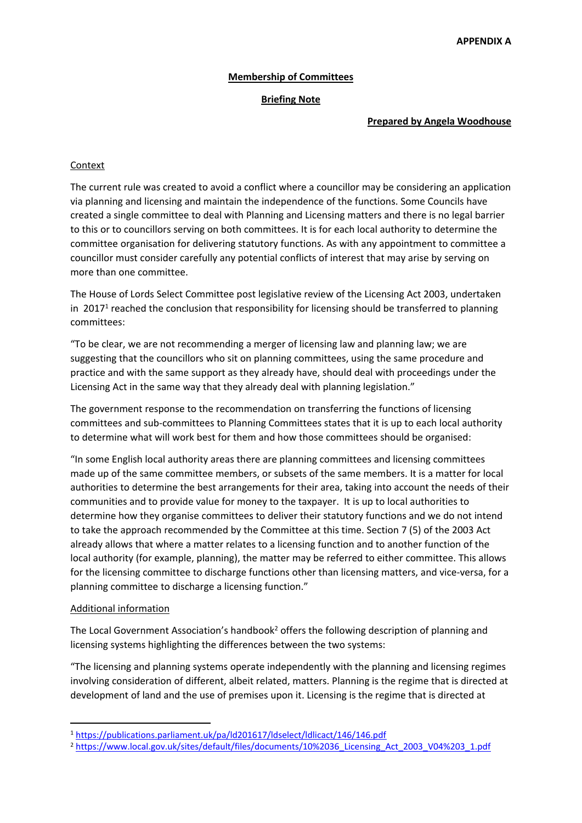# **Membership of Committees**

## **Briefing Note**

#### **Prepared by Angela Woodhouse**

# Context

The current rule was created to avoid a conflict where a councillor may be considering an application via planning and licensing and maintain the independence of the functions. Some Councils have created a single committee to deal with Planning and Licensing matters and there is no legal barrier to this or to councillors serving on both committees. It is for each local authority to determine the committee organisation for delivering statutory functions. As with any appointment to committee a councillor must consider carefully any potential conflicts of interest that may arise by serving on more than one committee.

The House of Lords Select Committee post legislative review of the Licensing Act 2003, undertaken in 2017<sup>1</sup> reached the conclusion that responsibility for licensing should be transferred to planning committees:

"To be clear, we are not recommending a merger of licensing law and planning law; we are suggesting that the councillors who sit on planning committees, using the same procedure and practice and with the same support as they already have, should deal with proceedings under the Licensing Act in the same way that they already deal with planning legislation."

The government response to the recommendation on transferring the functions of licensing committees and sub-committees to Planning Committees states that it is up to each local authority to determine what will work best for them and how those committees should be organised:

"In some English local authority areas there are planning committees and licensing committees made up of the same committee members, or subsets of the same members. It is a matter for local authorities to determine the best arrangements for their area, taking into account the needs of their communities and to provide value for money to the taxpayer. It is up to local authorities to determine how they organise committees to deliver their statutory functions and we do not intend to take the approach recommended by the Committee at this time. Section 7 (5) of the 2003 Act already allows that where a matter relates to a licensing function and to another function of the local authority (for example, planning), the matter may be referred to either committee. This allows for the licensing committee to discharge functions other than licensing matters, and vice-versa, for a planning committee to discharge a licensing function."

### Additional information

The Local Government Association's handbook<sup>2</sup> offers the following description of planning and licensing systems highlighting the differences between the two systems:

"The licensing and planning systems operate independently with the planning and licensing regimes involving consideration of different, albeit related, matters. Planning is the regime that is directed at development of land and the use of premises upon it. Licensing is the regime that is directed at

<sup>1</sup> <https://publications.parliament.uk/pa/ld201617/ldselect/ldlicact/146/146.pdf>

<sup>2</sup> [https://www.local.gov.uk/sites/default/files/documents/10%2036\\_Licensing\\_Act\\_2003\\_V04%203\\_1.pdf](https://www.local.gov.uk/sites/default/files/documents/10%2036_Licensing_Act_2003_V04%203_1.pdf)